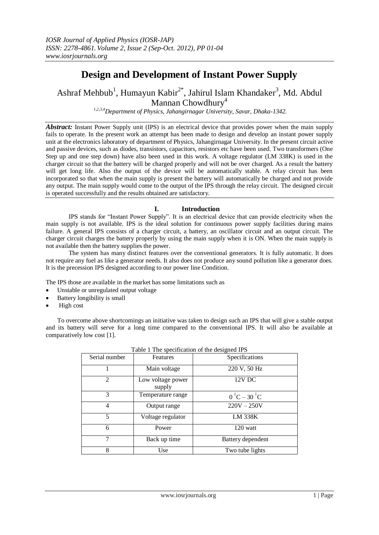# **Design and Development of Instant Power Supply**

Ashraf Mehbub<sup>1</sup>, Humayun Kabir<sup>2\*</sup>, Jahirul Islam Khandaker<sup>3</sup>, Md. Abdul Mannan Chowdhury<sup>4</sup>

*1,2,3,4Department of Physics, Jahangirnagar University, Savar, Dhaka-1342.*

*Abstract:* Instant Power Supply unit (IPS) is an electrical device that provides power when the main supply fails to operate. In the present work an attempt has been made to design and develop an instant power supply unit at the electronics laboratory of department of Physics, Jahangirnagar University. In the present circuit active and passive devices, such as diodes, transistors, capacitors, resistors etc have been used. Two transformers (One Step up and one step down) have also been used in this work. A voltage regulator (LM 338K) is used in the charger circuit so that the battery will be charged properly and will not be over charged. As a result the battery will get long life. Also the output of the device will be automatically stable. A relay circuit has been incorporated so that when the main supply is present the battery will automatically be charged and not provide any output. The main supply would come to the output of the IPS through the relay circuit. The designed circuit is operated successfully and the results obtained are satisfactory.

## **I. Introduction**

IPS stands for "Instant Power Supply". It is an electrical device that can provide electricity when the main supply is not available. IPS is the ideal solution for continuous power supply facilities during mains failure. A general IPS consists of a charger circuit, a battery, an oscillator circuit and an output circuit. The charger circuit charges the battery properly by using the main supply when it is ON. When the main supply is not available then the battery supplies the power.

The system has many distinct features over the conventional generators. It is fully automatic. It does not require any fuel as like a generator needs. It also does not produce any sound pollution like a generator does. It is the precession IPS designed according to our power line Condition.

The IPS those are available in the market has some limitations such as

- Unstable or unregulated output voltage
- Battery longibility is small
- High cost

To overcome above shortcomings an initiative was taken to design such an IPS that will give a stable output and its battery will serve for a long time compared to the conventional IPS. It will also be available at comparatively low cost [1].

|                |                             | ี ⊂                        |
|----------------|-----------------------------|----------------------------|
| Serial number  | Features                    | Specifications             |
|                | Main voltage                | 220 V, 50 Hz               |
| $\mathfrak{D}$ | Low voltage power<br>supply | 12V DC                     |
| 3              | Temperature range           | $0^{\circ}C - 30^{\circ}C$ |
| 4              | Output range                | $220V - 250V$              |
| 5              | Voltage regulator           | LM 338K                    |
| 6              | Power                       | 120 watt                   |
| 7              | Back up time                | Battery dependent          |
| 8              | Use                         | Two tube lights            |

|  | Table 1 The specification of the designed IPS |  |  |
|--|-----------------------------------------------|--|--|
|  |                                               |  |  |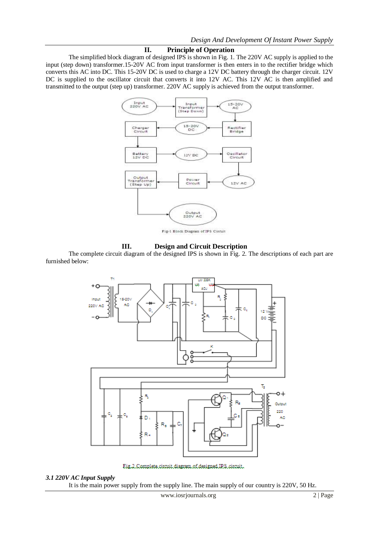## **II. Principle of Operation**

The simplified block diagram of designed IPS is shown in Fig. 1. The 220V AC supply is applied to the input (step down) transformer.15-20V AC from input transformer is then enters in to the rectifier bridge which converts this AC into DC. This 15-20V DC is used to charge a 12V DC battery through the charger circuit. 12V DC is supplied to the oscillator circuit that converts it into 12V AC. This 12V AC is then amplified and transmitted to the output (step up) transformer. 220V AC supply is achieved from the output transformer.



Fig-1 Block Diagram of IPS Circuit

## **III. Design and Circuit Description**

The complete circuit diagram of the designed IPS is shown in Fig. 2. The descriptions of each part are furnished below:



Eig.2.Complete.circuit.diagram.of.designed.IRS.circuit.

#### *3.1 220V AC Input Supply*

It is the main power supply from the supply line. The main supply of our country is 220V, 50 Hz.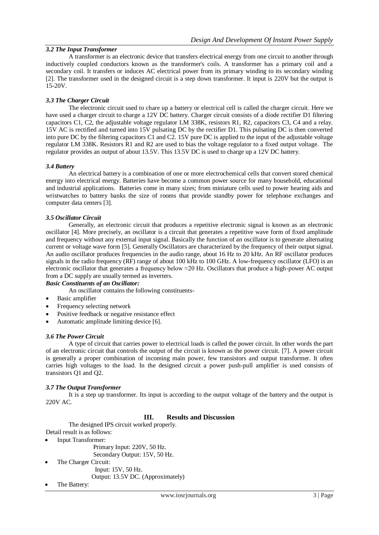# *3.2 The Input Transformer*

A transformer is an electronic device that transfer[s electrical energy](http://en.wikipedia.org/wiki/Electrical_energy) from on[e circuit](http://en.wikipedia.org/wiki/Electrical_network) to another through [inductively coupled](http://en.wikipedia.org/wiki/Inductive_coupling) conductors known as the transformer's coils. A transformer has a primary coil and a secondary coil. It transfers or induces AC electrical power from its primary winding to its secondary winding [2]. The transformer used in the designed circuit is a step down transformer. It input is 220V but the output is 15-20V.

## *3.3 The Charger Circuit*

The electronic circuit used to chare up a battery or electrical cell is called the charger circuit. Here we have used a charger circuit to charge a 12V DC battery. Charger circuit consists of a diode rectifier D1 filtering capacitors C1, C2, the adjustable voltage regulator LM 338K, resistors R1, R2, capacitors C3, C4 and a relay. 15V AC is rectified and turned into 15V pulsating DC by the rectifier D1. This pulsating DC is then converted into pure DC by the filtering capacitors C1 and C2. 15V pure DC is applied to the input of the adjustable voltage regulator LM 338K. Resistors R1 and R2 are used to bias the voltage regulator to a fixed output voltage. The regulator provides an output of about 13.5V. This 13.5V DC is used to charge up a 12V DC battery.

## *3.4 Battery*

An electrical battery is a combination of one or more [electrochemical cells](http://en.wikipedia.org/wiki/Electrochemical_cell) that convert stored chemical [energy](http://en.wikipedia.org/wiki/Energy) into electrical energy. Batteries have become a common power source for many household, educational and industrial applications. Batteries come in many sizes; from miniature cells used to power [hearing aids](http://en.wikipedia.org/wiki/Hearing_aid) and wristwatches to battery banks the size of rooms that provide standby power for [telephone exchanges](http://en.wikipedia.org/wiki/Telephone_exchange) and computer [data centers](http://en.wikipedia.org/wiki/Data_center) [3].

#### *3.5 Oscillator Circuit*

Generally, an [electronic circuit](http://en.wikipedia.org/wiki/Electronic_circuit) that produces a repetitive electronic signal is known as an electronic oscillator [4]. More precisely, an oscillator is a circuit that generates a repetitive wave form of fixed amplitude and frequency without any external input signal. Basically the function of an oscillator is to generate alternating current or voltage wave form [5]. Generally Oscillators are characterized by the [frequency](http://en.wikipedia.org/wiki/Frequency) of their output signal. An [audio oscillator](http://en.wikipedia.org/wiki/Audio_oscillator) produces frequencies in the [audio](http://en.wikipedia.org/wiki/Audio_frequency) range, about 16 Hz to 20 kHz. An RF oscillator produces signals in the [radio frequency](http://en.wikipedia.org/wiki/Radio_frequency) (RF) range of about 100 kHz to 100 GHz. A [low-frequency oscillator](http://en.wikipedia.org/wiki/Low_frequency_oscillation) (LFO) is an electronic oscillator that generates a frequency below ≈20 Hz. Oscillators that produce a high-power AC output from a DC supply are usually termed a[s inverters.](http://en.wikipedia.org/wiki/Inverter_%28electrical%29)

## *Basic Constituents of an Oscillator:*

An oscillator contains the following constituents-

- Basic amplifier
- Frequency selecting network
- Positive feedback or negative resistance effect
- Automatic amplitude limiting device [6].

#### *3.6 The Power Circuit*

A type of circuit that carries power to electrical loads is called the power circuit. In other words the part of an electronic circuit that controls the output of the circuit is known as the power circuit. [7]. A power circuit is generally a proper combination of incoming main power, few transistors and output transformer. It often carries high voltages to the load. In the designed circuit a power push-pull amplifier is used consists of transistors Q1 and Q2.

## *3.7 The Output Transformer*

It is a step up transformer. Its input is according to the output voltage of the battery and the output is 220V AC.

## **III. Results and Discussion**

The designed IPS circuit worked properly. Detail result is as follows:

Input Transformer:

 Primary Input: 220V, 50 Hz. Secondary Output: 15V, 50 Hz.

 The Charger Circuit: Input: 15V, 50 Hz.

Output: 13.5V DC. (Approximately)

The Battery: